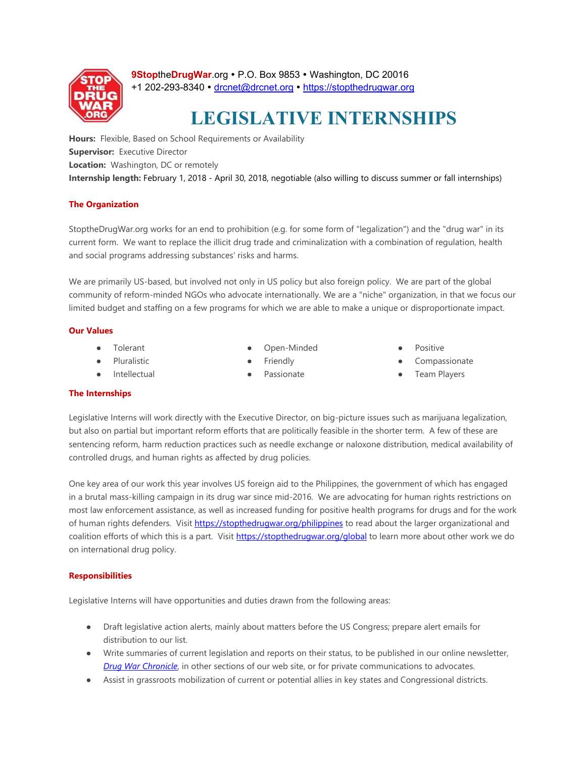

9StoptheDrugWar.org • P.O. Box 9853 • Washington, DC 20016 +1 202-293-8340 · drcnet@drcnet.org · https://stopthedrugwar.org

# **LEGISLATIVE INTERNSHIPS**

**Hours:** Flexible, Based on School Requirements or Availability **Supervisor:** Executive Director **Location:** Washington, DC or remotely **Internship length:** February 1, 2018 - April 30, 2018, negotiable (also willing to discuss summer or fall internships)

# **The Organization**

StoptheDrugWar.org works for an end to prohibition (e.g. for some form of "legalization") and the "drug war" in its current form. We want to replace the illicit drug trade and criminalization with a combination of regulation, health and social programs addressing substances' risks and harms.

We are primarily US-based, but involved not only in US policy but also foreign policy. We are part of the global community of reform-minded NGOs who advocate internationally. We are a "niche" organization, in that we focus our limited budget and staffing on a few programs for which we are able to make a unique or disproportionate impact.

# **Our Values**

**Tolerant** 

Pluralistic ● Intellectual

- Open-Minded
- **Friendly**
- Passionate
- Positive
- Compassionate
- **Team Players**

# **The Internships**

Legislative Interns will work directly with the Executive Director, on big-picture issues such as marijuana legalization, but also on partial but important reform efforts that are politically feasible in the shorter term. A few of these are sentencing reform, harm reduction practices such as needle exchange or naloxone distribution, medical availability of controlled drugs, and human rights as affected by drug policies.

One key area of our work this year involves US foreign aid to the Philippines, the government of which has engaged in a brutal mass-killing campaign in its drug war since mid-2016. We are advocating for human rights restrictions on most law enforcement assistance, as well as increased funding for positive health programs for drugs and for the work of human rights defenders. Visit https://stopthedrugwar.org/philippines to read about the larger organizational and coalition efforts of which this is a part. Visit https://stopthedrugwar.org/global to learn more about other work we do on international drug policy.

# **Responsibilities**

Legislative Interns will have opportunities and duties drawn from the following areas:

- Draft legislative action alerts, mainly about matters before the US Congress; prepare alert emails for distribution to our list.
- Write summaries of current legislation and reports on their status, to be published in our online newsletter, *Drug War Chronicle*, in other sections of our web site, or for private communications to advocates.
- Assist in grassroots mobilization of current or potential allies in key states and Congressional districts.